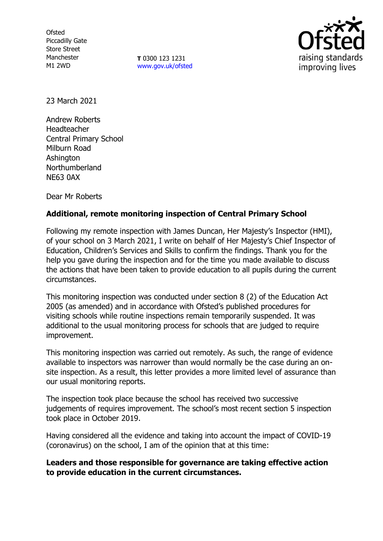**Ofsted** Piccadilly Gate Store Street Manchester M1 2WD

**T** 0300 123 1231 [www.gov.uk/ofsted](http://www.gov.uk/ofsted)



23 March 2021

Andrew Roberts Headteacher Central Primary School Milburn Road Ashington Northumberland NE63 0AX

Dear Mr Roberts

## **Additional, remote monitoring inspection of Central Primary School**

Following my remote inspection with James Duncan, Her Majesty's Inspector (HMI), of your school on 3 March 2021, I write on behalf of Her Majesty's Chief Inspector of Education, Children's Services and Skills to confirm the findings. Thank you for the help you gave during the inspection and for the time you made available to discuss the actions that have been taken to provide education to all pupils during the current circumstances.

This monitoring inspection was conducted under section 8 (2) of the Education Act 2005 (as amended) and in accordance with Ofsted's published procedures for visiting schools while routine inspections remain temporarily suspended. It was additional to the usual monitoring process for schools that are judged to require improvement.

This monitoring inspection was carried out remotely. As such, the range of evidence available to inspectors was narrower than would normally be the case during an onsite inspection. As a result, this letter provides a more limited level of assurance than our usual monitoring reports.

The inspection took place because the school has received two successive judgements of requires improvement. The school's most recent section 5 inspection took place in October 2019.

Having considered all the evidence and taking into account the impact of COVID-19 (coronavirus) on the school, I am of the opinion that at this time:

**Leaders and those responsible for governance are taking effective action to provide education in the current circumstances.**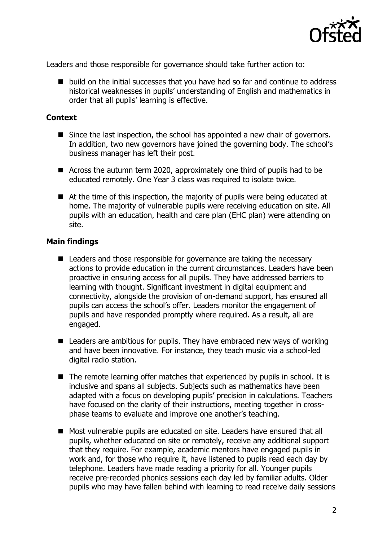

Leaders and those responsible for governance should take further action to:

■ build on the initial successes that you have had so far and continue to address historical weaknesses in pupils' understanding of English and mathematics in order that all pupils' learning is effective.

## **Context**

- Since the last inspection, the school has appointed a new chair of governors. In addition, two new governors have joined the governing body. The school's business manager has left their post.
- Across the autumn term 2020, approximately one third of pupils had to be educated remotely. One Year 3 class was required to isolate twice.
- At the time of this inspection, the majority of pupils were being educated at home. The majority of vulnerable pupils were receiving education on site. All pupils with an education, health and care plan (EHC plan) were attending on site.

## **Main findings**

- Leaders and those responsible for governance are taking the necessary actions to provide education in the current circumstances. Leaders have been proactive in ensuring access for all pupils. They have addressed barriers to learning with thought. Significant investment in digital equipment and connectivity, alongside the provision of on-demand support, has ensured all pupils can access the school's offer. Leaders monitor the engagement of pupils and have responded promptly where required. As a result, all are engaged.
- $\blacksquare$  Leaders are ambitious for pupils. They have embraced new ways of working and have been innovative. For instance, they teach music via a school-led digital radio station.
- The remote learning offer matches that experienced by pupils in school. It is inclusive and spans all subjects. Subjects such as mathematics have been adapted with a focus on developing pupils' precision in calculations. Teachers have focused on the clarity of their instructions, meeting together in crossphase teams to evaluate and improve one another's teaching.
- Most vulnerable pupils are educated on site. Leaders have ensured that all pupils, whether educated on site or remotely, receive any additional support that they require. For example, academic mentors have engaged pupils in work and, for those who require it, have listened to pupils read each day by telephone. Leaders have made reading a priority for all. Younger pupils receive pre-recorded phonics sessions each day led by familiar adults. Older pupils who may have fallen behind with learning to read receive daily sessions